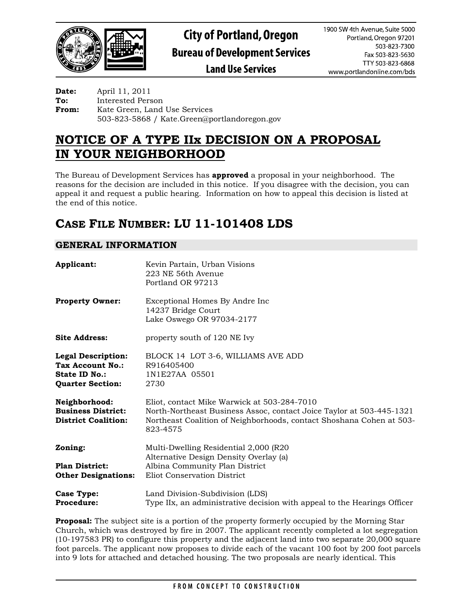

**Land Use Services** 

**Date:** April 11, 2011 **To:** Interested Person **From:** Kate Green, Land Use Services 503-823-5868 / Kate.Green@portlandoregon.gov

# **NOTICE OF A TYPE IIx DECISION ON A PROPOSAL IN YOUR NEIGHBORHOOD**

The Bureau of Development Services has **approved** a proposal in your neighborhood. The reasons for the decision are included in this notice. If you disagree with the decision, you can appeal it and request a public hearing. Information on how to appeal this decision is listed at the end of this notice.

# **CASE FILE NUMBER: LU 11-101408 LDS**

# **GENERAL INFORMATION**

| Applicant:                                                                                | Kevin Partain, Urban Visions<br>223 NE 56th Avenue<br>Portland OR 97213                                                                                                                                 |
|-------------------------------------------------------------------------------------------|---------------------------------------------------------------------------------------------------------------------------------------------------------------------------------------------------------|
| <b>Property Owner:</b>                                                                    | Exceptional Homes By Andre Inc<br>14237 Bridge Court<br>Lake Oswego OR 97034-2177                                                                                                                       |
| <b>Site Address:</b>                                                                      | property south of 120 NE Ivy                                                                                                                                                                            |
| <b>Legal Description:</b><br>Tax Account No.:<br>State ID No.:<br><b>Quarter Section:</b> | BLOCK 14 LOT 3-6, WILLIAMS AVE ADD<br>R916405400<br>1N1E27AA 05501<br>2730                                                                                                                              |
| Neighborhood:<br><b>Business District:</b><br><b>District Coalition:</b>                  | Eliot, contact Mike Warwick at 503-284-7010<br>North-Northeast Business Assoc, contact Joice Taylor at 503-445-1321<br>Northeast Coalition of Neighborhoods, contact Shoshana Cohen at 503-<br>823-4575 |
| Zoning:                                                                                   | Multi-Dwelling Residential 2,000 (R20)<br>Alternative Design Density Overlay (a)                                                                                                                        |
| <b>Plan District:</b><br><b>Other Designations:</b>                                       | Albina Community Plan District<br>Eliot Conservation District                                                                                                                                           |
| Case Type:<br><b>Procedure:</b>                                                           | Land Division-Subdivision (LDS)<br>Type IIx, an administrative decision with appeal to the Hearings Officer                                                                                             |

**Proposal:** The subject site is a portion of the property formerly occupied by the Morning Star Church, which was destroyed by fire in 2007. The applicant recently completed a lot segregation (10-197583 PR) to configure this property and the adjacent land into two separate 20,000 square foot parcels. The applicant now proposes to divide each of the vacant 100 foot by 200 foot parcels into 9 lots for attached and detached housing. The two proposals are nearly identical. This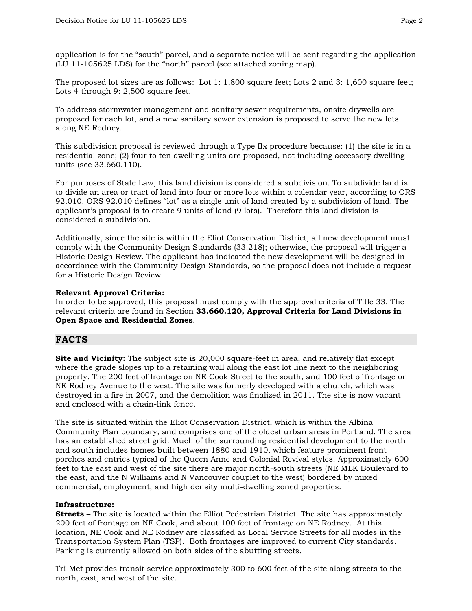application is for the "south" parcel, and a separate notice will be sent regarding the application (LU 11-105625 LDS) for the "north" parcel (see attached zoning map).

The proposed lot sizes are as follows: Lot 1: 1,800 square feet; Lots 2 and 3: 1,600 square feet; Lots 4 through 9: 2,500 square feet.

To address stormwater management and sanitary sewer requirements, onsite drywells are proposed for each lot, and a new sanitary sewer extension is proposed to serve the new lots along NE Rodney.

This subdivision proposal is reviewed through a Type IIx procedure because: (1) the site is in a residential zone; (2) four to ten dwelling units are proposed, not including accessory dwelling units (see 33.660.110).

For purposes of State Law, this land division is considered a subdivision. To subdivide land is to divide an area or tract of land into four or more lots within a calendar year, according to ORS 92.010. ORS 92.010 defines "lot" as a single unit of land created by a subdivision of land. The applicant's proposal is to create 9 units of land (9 lots). Therefore this land division is considered a subdivision.

Additionally, since the site is within the Eliot Conservation District, all new development must comply with the Community Design Standards (33.218); otherwise, the proposal will trigger a Historic Design Review. The applicant has indicated the new development will be designed in accordance with the Community Design Standards, so the proposal does not include a request for a Historic Design Review.

#### **Relevant Approval Criteria:**

In order to be approved, this proposal must comply with the approval criteria of Title 33. The relevant criteria are found in Section **33.660.120, Approval Criteria for Land Divisions in Open Space and Residential Zones**.

# **FACTS**

**Site and Vicinity:** The subject site is 20,000 square-feet in area, and relatively flat except where the grade slopes up to a retaining wall along the east lot line next to the neighboring property. The 200 feet of frontage on NE Cook Street to the south, and 100 feet of frontage on NE Rodney Avenue to the west. The site was formerly developed with a church, which was destroyed in a fire in 2007, and the demolition was finalized in 2011. The site is now vacant and enclosed with a chain-link fence.

The site is situated within the Eliot Conservation District, which is within the Albina Community Plan boundary, and comprises one of the oldest urban areas in Portland. The area has an established street grid. Much of the surrounding residential development to the north and south includes homes built between 1880 and 1910, which feature prominent front porches and entries typical of the Queen Anne and Colonial Revival styles. Approximately 600 feet to the east and west of the site there are major north-south streets (NE MLK Boulevard to the east, and the N Williams and N Vancouver couplet to the west) bordered by mixed commercial, employment, and high density multi-dwelling zoned properties.

#### **Infrastructure:**

**Streets -** The site is located within the Elliot Pedestrian District. The site has approximately 200 feet of frontage on NE Cook, and about 100 feet of frontage on NE Rodney. At this location, NE Cook and NE Rodney are classified as Local Service Streets for all modes in the Transportation System Plan (TSP). Both frontages are improved to current City standards. Parking is currently allowed on both sides of the abutting streets.

Tri-Met provides transit service approximately 300 to 600 feet of the site along streets to the north, east, and west of the site.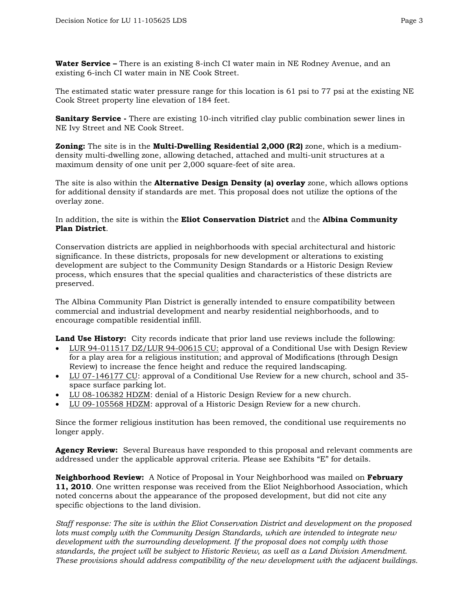**Water Service –** There is an existing 8-inch CI water main in NE Rodney Avenue, and an existing 6-inch CI water main in NE Cook Street.

The estimated static water pressure range for this location is 61 psi to 77 psi at the existing NE Cook Street property line elevation of 184 feet.

**Sanitary Service** - There are existing 10-inch vitrified clay public combination sewer lines in NE Ivy Street and NE Cook Street.

**Zoning:** The site is in the **Multi-Dwelling Residential 2,000 (R2)** zone, which is a mediumdensity multi-dwelling zone, allowing detached, attached and multi-unit structures at a maximum density of one unit per 2,000 square-feet of site area.

The site is also within the **Alternative Design Density (a) overlay** zone, which allows options for additional density if standards are met. This proposal does not utilize the options of the overlay zone.

In addition, the site is within the **Eliot Conservation District** and the **Albina Community Plan District**.

Conservation districts are applied in neighborhoods with special architectural and historic significance. In these districts, proposals for new development or alterations to existing development are subject to the Community Design Standards or a Historic Design Review process, which ensures that the special qualities and characteristics of these districts are preserved.

The Albina Community Plan District is generally intended to ensure compatibility between commercial and industrial development and nearby residential neighborhoods, and to encourage compatible residential infill.

**Land Use History:** City records indicate that prior land use reviews include the following:

- LUR 94-011517 DZ/LUR 94-00615 CU: approval of a Conditional Use with Design Review for a play area for a religious institution; and approval of Modifications (through Design Review) to increase the fence height and reduce the required landscaping.
- LU 07-146177 CU: approval of a Conditional Use Review for a new church, school and 35 space surface parking lot.
- LU 08-106382 HDZM: denial of a Historic Design Review for a new church.
- LU 09-105568 HDZM: approval of a Historic Design Review for a new church.

Since the former religious institution has been removed, the conditional use requirements no longer apply.

**Agency Review:** Several Bureaus have responded to this proposal and relevant comments are addressed under the applicable approval criteria. Please see Exhibits "E" for details.

**Neighborhood Review:** A Notice of Proposal in Your Neighborhood was mailed on **February 11, 2010**. One written response was received from the Eliot Neighborhood Association, which noted concerns about the appearance of the proposed development, but did not cite any specific objections to the land division.

*Staff response: The site is within the Eliot Conservation District and development on the proposed lots must comply with the Community Design Standards, which are intended to integrate new development with the surrounding development. If the proposal does not comply with those standards, the project will be subject to Historic Review, as well as a Land Division Amendment. These provisions should address compatibility of the new development with the adjacent buildings.*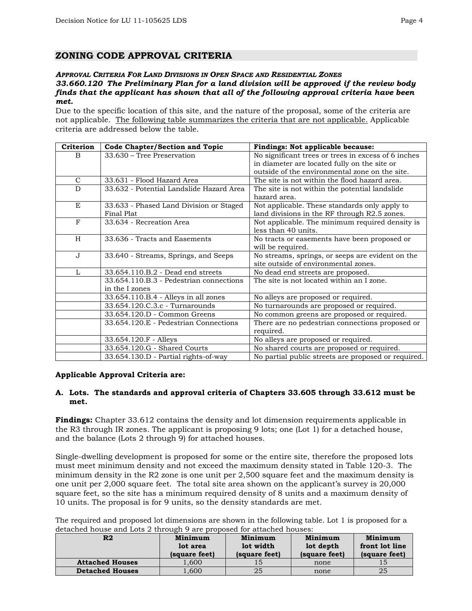# **ZONING CODE APPROVAL CRITERIA**

#### *APPROVAL CRITERIA FOR LAND DIVISIONS IN OPEN SPACE AND RESIDENTIAL ZONES 33.660.120 The Preliminary Plan for a land division will be approved if the review body finds that the applicant has shown that all of the following approval criteria have been met.*

Due to the specific location of this site, and the nature of the proposal, some of the criteria are not applicable. The following table summarizes the criteria that are not applicable. Applicable criteria are addressed below the table.

| Criterion    | <b>Code Chapter/Section and Topic</b>    | Findings: Not applicable because:                   |
|--------------|------------------------------------------|-----------------------------------------------------|
| <sub>B</sub> | 33.630 - Tree Preservation               | No significant trees or trees in excess of 6 inches |
|              |                                          | in diameter are located fully on the site or        |
|              |                                          | outside of the environmental zone on the site.      |
| $\mathsf{C}$ | 33.631 - Flood Hazard Area               | The site is not within the flood hazard area.       |
| D            | 33.632 - Potential Landslide Hazard Area | The site is not within the potential landslide.     |
|              |                                          | hazard area.                                        |
| E            | 33.633 - Phased Land Division or Staged  | Not applicable. These standards only apply to       |
|              | Final Plat                               | land divisions in the RF through R2.5 zones.        |
| F            | 33.634 - Recreation Area                 | Not applicable. The minimum required density is     |
|              |                                          | less than 40 units.                                 |
| H            | 33.636 - Tracts and Easements            | No tracts or easements have been proposed or        |
|              |                                          | will be required.                                   |
| J            | 33.640 - Streams, Springs, and Seeps     | No streams, springs, or seeps are evident on the    |
|              |                                          | site outside of environmental zones.                |
| L            | 33.654.110.B.2 - Dead end streets        | No dead end streets are proposed.                   |
|              | 33.654.110.B.3 - Pedestrian connections  | The site is not located within an I zone.           |
|              | in the I zones                           |                                                     |
|              | 33.654.110.B.4 - Alleys in all zones     | No alleys are proposed or required.                 |
|              | 33.654.120.C.3.c - Turnarounds           | No turnarounds are proposed or required.            |
|              | 33.654.120.D - Common Greens             | No common greens are proposed or required.          |
|              | 33.654.120.E - Pedestrian Connections    | There are no pedestrian connections proposed or     |
|              |                                          | required.                                           |
|              | 33.654.120.F - Alleys                    | No alleys are proposed or required.                 |
|              | 33.654.120.G - Shared Courts             | No shared courts are proposed or required.          |
|              | 33.654.130.D - Partial rights-of-way     | No partial public streets are proposed or required. |

#### **Applicable Approval Criteria are:**

#### **A. Lots. The standards and approval criteria of Chapters 33.605 through 33.612 must be met.**

**Findings:** Chapter 33.612 contains the density and lot dimension requirements applicable in the R3 through IR zones. The applicant is proposing 9 lots; one (Lot 1) for a detached house, and the balance (Lots 2 through 9) for attached houses.

Single-dwelling development is proposed for some or the entire site, therefore the proposed lots must meet minimum density and not exceed the maximum density stated in Table 120-3. The minimum density in the R2 zone is one unit per 2,500 square feet and the maximum density is one unit per 2,000 square feet. The total site area shown on the applicant's survey is 20,000 square feet, so the site has a minimum required density of 8 units and a maximum density of 10 units. The proposal is for 9 units, so the density standards are met.

The required and proposed lot dimensions are shown in the following table. Lot 1 is proposed for a detached house and Lots 2 through 9 are proposed for attached houses:

| R2                     | Minimum<br>lot area<br>(square feet) |    | Minimum<br>lot depth<br>(square feet) | Minimum<br>front lot line<br>(square feet) |
|------------------------|--------------------------------------|----|---------------------------------------|--------------------------------------------|
| <b>Attached Houses</b> | 1,600                                |    | none                                  |                                            |
| <b>Detached Houses</b> | 1,600                                | 25 | none                                  | 25                                         |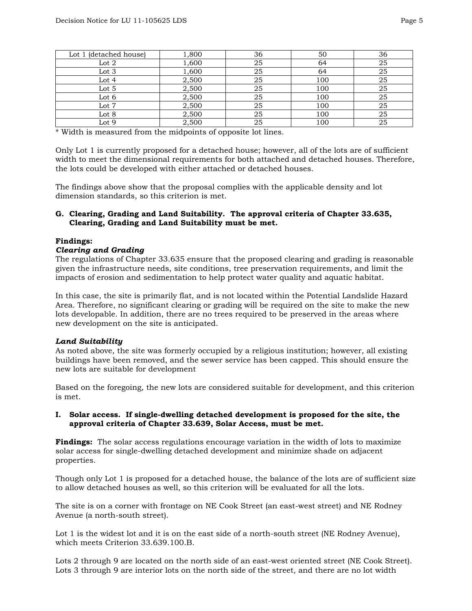| Lot 1 (detached house) | 1,800 | 36 | 50  | 36 |
|------------------------|-------|----|-----|----|
| Lot $2$                | 1,600 | 25 | 64  | 25 |
| Lot 3                  | 1,600 | 25 | 64  | 25 |
| Lot 4                  | 2,500 | 25 | 100 | 25 |
| Lot 5                  | 2,500 | 25 | 100 | 25 |
| Lot 6                  | 2,500 | 25 | 100 | 25 |
| Lot 7                  | 2,500 | 25 | 100 | 25 |
| Lot 8                  | 2,500 | 25 | 100 | 25 |
| Lot 9                  | 2,500 | 25 | 100 | 25 |

\* Width is measured from the midpoints of opposite lot lines.

Only Lot 1 is currently proposed for a detached house; however, all of the lots are of sufficient width to meet the dimensional requirements for both attached and detached houses. Therefore, the lots could be developed with either attached or detached houses.

The findings above show that the proposal complies with the applicable density and lot dimension standards, so this criterion is met.

#### **G. Clearing, Grading and Land Suitability. The approval criteria of Chapter 33.635, Clearing, Grading and Land Suitability must be met.**

#### **Findings:**

#### *Clearing and Grading*

The regulations of Chapter 33.635 ensure that the proposed clearing and grading is reasonable given the infrastructure needs, site conditions, tree preservation requirements, and limit the impacts of erosion and sedimentation to help protect water quality and aquatic habitat.

In this case, the site is primarily flat, and is not located within the Potential Landslide Hazard Area. Therefore, no significant clearing or grading will be required on the site to make the new lots developable. In addition, there are no trees required to be preserved in the areas where new development on the site is anticipated.

#### *Land Suitability*

As noted above, the site was formerly occupied by a religious institution; however, all existing buildings have been removed, and the sewer service has been capped. This should ensure the new lots are suitable for development

Based on the foregoing, the new lots are considered suitable for development, and this criterion is met.

#### **I. Solar access. If single-dwelling detached development is proposed for the site, the approval criteria of Chapter 33.639, Solar Access, must be met.**

**Findings:** The solar access regulations encourage variation in the width of lots to maximize solar access for single-dwelling detached development and minimize shade on adjacent properties.

Though only Lot 1 is proposed for a detached house, the balance of the lots are of sufficient size to allow detached houses as well, so this criterion will be evaluated for all the lots.

The site is on a corner with frontage on NE Cook Street (an east-west street) and NE Rodney Avenue (a north-south street).

Lot 1 is the widest lot and it is on the east side of a north-south street (NE Rodney Avenue), which meets Criterion 33.639.100.B.

Lots 2 through 9 are located on the north side of an east-west oriented street (NE Cook Street). Lots 3 through 9 are interior lots on the north side of the street, and there are no lot width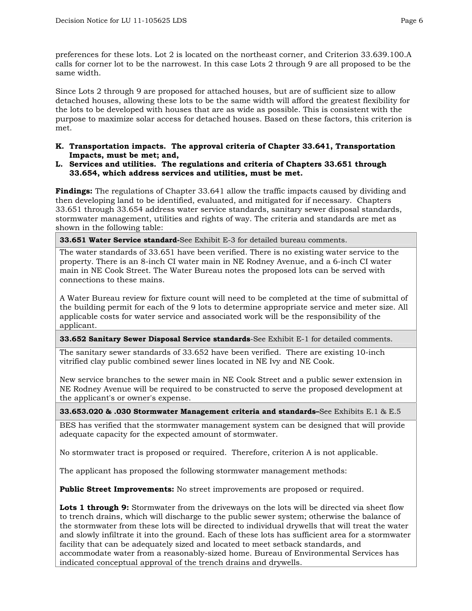preferences for these lots. Lot 2 is located on the northeast corner, and Criterion 33.639.100.A calls for corner lot to be the narrowest. In this case Lots 2 through 9 are all proposed to be the same width.

Since Lots 2 through 9 are proposed for attached houses, but are of sufficient size to allow detached houses, allowing these lots to be the same width will afford the greatest flexibility for the lots to be developed with houses that are as wide as possible. This is consistent with the purpose to maximize solar access for detached houses. Based on these factors, this criterion is met.

- **K. Transportation impacts. The approval criteria of Chapter 33.641, Transportation Impacts, must be met; and,**
- **L. Services and utilities. The regulations and criteria of Chapters 33.651 through 33.654, which address services and utilities, must be met.**

**Findings:** The regulations of Chapter 33.641 allow the traffic impacts caused by dividing and then developing land to be identified, evaluated, and mitigated for if necessary. Chapters 33.651 through 33.654 address water service standards, sanitary sewer disposal standards, stormwater management, utilities and rights of way. The criteria and standards are met as shown in the following table:

**33.651 Water Service standard-**See Exhibit E-3 for detailed bureau comments.

The water standards of 33.651 have been verified. There is no existing water service to the property. There is an 8-inch CI water main in NE Rodney Avenue, and a 6-inch CI water main in NE Cook Street. The Water Bureau notes the proposed lots can be served with connections to these mains.

A Water Bureau review for fixture count will need to be completed at the time of submittal of the building permit for each of the 9 lots to determine appropriate service and meter size. All applicable costs for water service and associated work will be the responsibility of the applicant.

**33.652 Sanitary Sewer Disposal Service standards**-See Exhibit E-1 for detailed comments.

The sanitary sewer standards of 33.652 have been verified. There are existing 10-inch vitrified clay public combined sewer lines located in NE Ivy and NE Cook.

New service branches to the sewer main in NE Cook Street and a public sewer extension in NE Rodney Avenue will be required to be constructed to serve the proposed development at the applicant's or owner's expense.

**33.653.020 & .030 Stormwater Management criteria and standards–**See Exhibits E.1 & E.5

BES has verified that the stormwater management system can be designed that will provide adequate capacity for the expected amount of stormwater.

No stormwater tract is proposed or required. Therefore, criterion A is not applicable.

The applicant has proposed the following stormwater management methods:

**Public Street Improvements:** No street improvements are proposed or required.

Lots 1 through 9: Stormwater from the driveways on the lots will be directed via sheet flow to trench drains, which will discharge to the public sewer system; otherwise the balance of the stormwater from these lots will be directed to individual drywells that will treat the water and slowly infiltrate it into the ground. Each of these lots has sufficient area for a stormwater facility that can be adequately sized and located to meet setback standards, and accommodate water from a reasonably-sized home. Bureau of Environmental Services has indicated conceptual approval of the trench drains and drywells.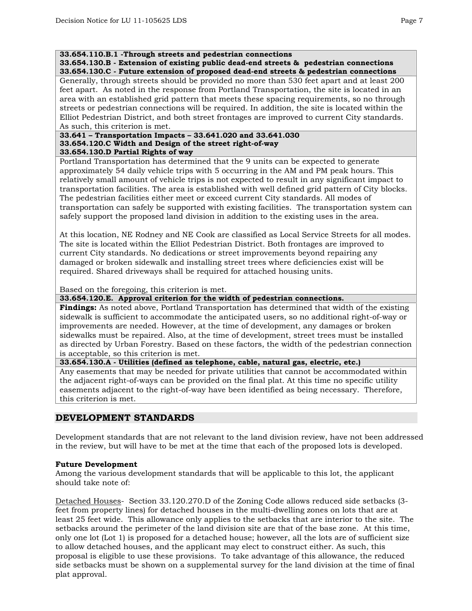#### **33.654.110.B.1 -Through streets and pedestrian connections**

**33.654.130.B - Extension of existing public dead-end streets & pedestrian connections 33.654.130.C - Future extension of proposed dead-end streets & pedestrian connections** 

Generally, through streets should be provided no more than 530 feet apart and at least 200 feet apart. As noted in the response from Portland Transportation, the site is located in an area with an established grid pattern that meets these spacing requirements, so no through streets or pedestrian connections will be required. In addition, the site is located within the Elliot Pedestrian District, and both street frontages are improved to current City standards. As such, this criterion is met.

#### **33.641 – Transportation Impacts – 33.641.020 and 33.641.030 33.654.120.C Width and Design of the street right-of-way 33.654.130.D Partial Rights of way**

Portland Transportation has determined that the 9 units can be expected to generate approximately 54 daily vehicle trips with 5 occurring in the AM and PM peak hours. This relatively small amount of vehicle trips is not expected to result in any significant impact to transportation facilities. The area is established with well defined grid pattern of City blocks. The pedestrian facilities either meet or exceed current City standards. All modes of transportation can safely be supported with existing facilities. The transportation system can safely support the proposed land division in addition to the existing uses in the area.

At this location, NE Rodney and NE Cook are classified as Local Service Streets for all modes. The site is located within the Elliot Pedestrian District. Both frontages are improved to current City standards. No dedications or street improvements beyond repairing any damaged or broken sidewalk and installing street trees where deficiencies exist will be required. Shared driveways shall be required for attached housing units.

Based on the foregoing, this criterion is met.

**33.654.120.E. Approval criterion for the width of pedestrian connections.** 

**Findings:** As noted above, Portland Transportation has determined that width of the existing sidewalk is sufficient to accommodate the anticipated users, so no additional right-of-way or improvements are needed. However, at the time of development, any damages or broken sidewalks must be repaired. Also, at the time of development, street trees must be installed as directed by Urban Forestry. Based on these factors, the width of the pedestrian connection is acceptable, so this criterion is met.

**33.654.130.A - Utilities (defined as telephone, cable, natural gas, electric, etc.)** 

Any easements that may be needed for private utilities that cannot be accommodated within the adjacent right-of-ways can be provided on the final plat. At this time no specific utility easements adjacent to the right-of-way have been identified as being necessary. Therefore, this criterion is met.

# **DEVELOPMENT STANDARDS**

Development standards that are not relevant to the land division review, have not been addressed in the review, but will have to be met at the time that each of the proposed lots is developed.

# **Future Development**

Among the various development standards that will be applicable to this lot, the applicant should take note of:

Detached Houses- Section 33.120.270.D of the Zoning Code allows reduced side setbacks (3 feet from property lines) for detached houses in the multi-dwelling zones on lots that are at least 25 feet wide. This allowance only applies to the setbacks that are interior to the site. The setbacks around the perimeter of the land division site are that of the base zone. At this time, only one lot (Lot 1) is proposed for a detached house; however, all the lots are of sufficient size to allow detached houses, and the applicant may elect to construct either. As such, this proposal is eligible to use these provisions. To take advantage of this allowance, the reduced side setbacks must be shown on a supplemental survey for the land division at the time of final plat approval.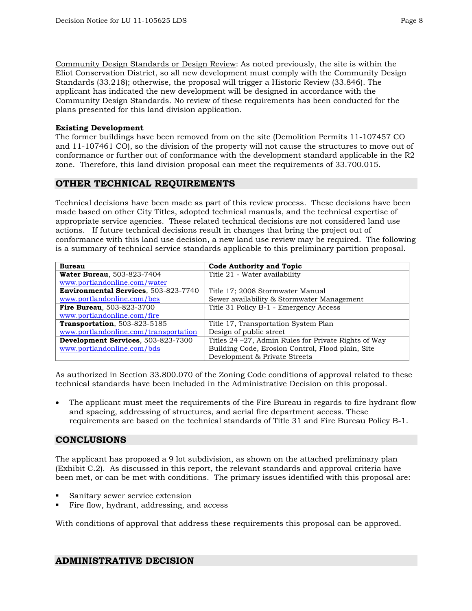Community Design Standards or Design Review: As noted previously, the site is within the Eliot Conservation District, so all new development must comply with the Community Design Standards (33.218); otherwise, the proposal will trigger a Historic Review (33.846). The applicant has indicated the new development will be designed in accordance with the Community Design Standards. No review of these requirements has been conducted for the plans presented for this land division application.

#### **Existing Development**

The former buildings have been removed from on the site (Demolition Permits 11-107457 CO and 11-107461 CO), so the division of the property will not cause the structures to move out of conformance or further out of conformance with the development standard applicable in the R2 zone. Therefore, this land division proposal can meet the requirements of 33.700.015.

# **OTHER TECHNICAL REQUIREMENTS**

Technical decisions have been made as part of this review process. These decisions have been made based on other City Titles, adopted technical manuals, and the technical expertise of appropriate service agencies. These related technical decisions are not considered land use actions. If future technical decisions result in changes that bring the project out of conformance with this land use decision, a new land use review may be required. The following is a summary of technical service standards applicable to this preliminary partition proposal.

| <b>Bureau</b>                         | <b>Code Authority and Topic</b>                       |  |
|---------------------------------------|-------------------------------------------------------|--|
| <b>Water Bureau, 503-823-7404</b>     | Title 21 - Water availability                         |  |
| www.portlandonline.com/water          |                                                       |  |
| Environmental Services, 503-823-7740  | Title 17; 2008 Stormwater Manual                      |  |
| www.portlandonline.com/bes            | Sewer availability & Stormwater Management            |  |
| <b>Fire Bureau, 503-823-3700</b>      | Title 31 Policy B-1 - Emergency Access                |  |
| www.portlandonline.com/fire           |                                                       |  |
| <b>Transportation</b> , 503-823-5185  | Title 17, Transportation System Plan                  |  |
| www.portlandonline.com/transportation | Design of public street                               |  |
| Development Services, 503-823-7300    | Titles 24 – 27, Admin Rules for Private Rights of Way |  |
| www.portlandonline.com/bds            | Building Code, Erosion Control, Flood plain, Site     |  |
|                                       | Development & Private Streets                         |  |

As authorized in Section 33.800.070 of the Zoning Code conditions of approval related to these technical standards have been included in the Administrative Decision on this proposal.

The applicant must meet the requirements of the Fire Bureau in regards to fire hydrant flow and spacing, addressing of structures, and aerial fire department access. These requirements are based on the technical standards of Title 31 and Fire Bureau Policy B-1.

# **CONCLUSIONS**

The applicant has proposed a 9 lot subdivision, as shown on the attached preliminary plan (Exhibit C.2). As discussed in this report, the relevant standards and approval criteria have been met, or can be met with conditions. The primary issues identified with this proposal are:

- Sanitary sewer service extension
- Fire flow, hydrant, addressing, and access

With conditions of approval that address these requirements this proposal can be approved.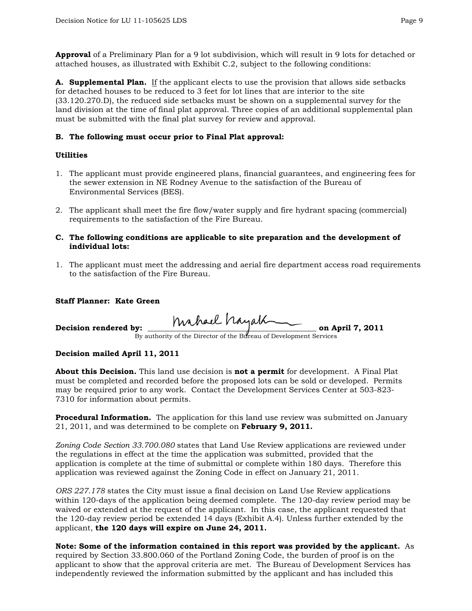**Approval** of a Preliminary Plan for a 9 lot subdivision, which will result in 9 lots for detached or attached houses, as illustrated with Exhibit C.2, subject to the following conditions:

**A. Supplemental Plan.** If the applicant elects to use the provision that allows side setbacks for detached houses to be reduced to 3 feet for lot lines that are interior to the site (33.120.270.D), the reduced side setbacks must be shown on a supplemental survey for the land division at the time of final plat approval. Three copies of an additional supplemental plan must be submitted with the final plat survey for review and approval.

### **B. The following must occur prior to Final Plat approval:**

#### **Utilities**

- 1. The applicant must provide engineered plans, financial guarantees, and engineering fees for the sewer extension in NE Rodney Avenue to the satisfaction of the Bureau of Environmental Services (BES).
- 2. The applicant shall meet the fire flow/water supply and fire hydrant spacing (commercial) requirements to the satisfaction of the Fire Bureau.
- **C. The following conditions are applicable to site preparation and the development of individual lots:**
- 1. The applicant must meet the addressing and aerial fire department access road requirements to the satisfaction of the Fire Bureau.

### **Staff Planner: Kate Green**

Decision rendered by: hahael hayath on April 7, 2011

By authority of the Director of the Bureau of Development Services

#### **Decision mailed April 11, 2011**

**About this Decision.** This land use decision is **not a permit** for development. A Final Plat must be completed and recorded before the proposed lots can be sold or developed. Permits may be required prior to any work. Contact the Development Services Center at 503-823- 7310 for information about permits.

**Procedural Information.** The application for this land use review was submitted on January 21, 2011, and was determined to be complete on **February 9, 2011.**

*Zoning Code Section 33.700.080* states that Land Use Review applications are reviewed under the regulations in effect at the time the application was submitted, provided that the application is complete at the time of submittal or complete within 180 days. Therefore this application was reviewed against the Zoning Code in effect on January 21, 2011.

*ORS 227.178* states the City must issue a final decision on Land Use Review applications within 120-days of the application being deemed complete. The 120-day review period may be waived or extended at the request of the applicant. In this case, the applicant requested that the 120-day review period be extended 14 days (Exhibit A.4). Unless further extended by the applicant, **the 120 days will expire on June 24, 2011.**

**Note: Some of the information contained in this report was provided by the applicant.** As required by Section 33.800.060 of the Portland Zoning Code, the burden of proof is on the applicant to show that the approval criteria are met. The Bureau of Development Services has independently reviewed the information submitted by the applicant and has included this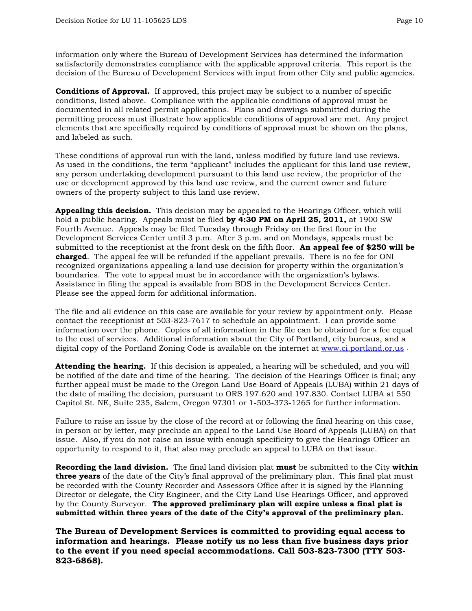information only where the Bureau of Development Services has determined the information satisfactorily demonstrates compliance with the applicable approval criteria. This report is the decision of the Bureau of Development Services with input from other City and public agencies.

**Conditions of Approval.** If approved, this project may be subject to a number of specific conditions, listed above. Compliance with the applicable conditions of approval must be documented in all related permit applications. Plans and drawings submitted during the permitting process must illustrate how applicable conditions of approval are met. Any project elements that are specifically required by conditions of approval must be shown on the plans, and labeled as such.

These conditions of approval run with the land, unless modified by future land use reviews. As used in the conditions, the term "applicant" includes the applicant for this land use review, any person undertaking development pursuant to this land use review, the proprietor of the use or development approved by this land use review, and the current owner and future owners of the property subject to this land use review.

**Appealing this decision.** This decision may be appealed to the Hearings Officer, which will hold a public hearing. Appeals must be filed **by 4:30 PM on April 25, 2011,** at 1900 SW Fourth Avenue. Appeals may be filed Tuesday through Friday on the first floor in the Development Services Center until 3 p.m. After 3 p.m. and on Mondays, appeals must be submitted to the receptionist at the front desk on the fifth floor. **An appeal fee of \$250 will be charged**. The appeal fee will be refunded if the appellant prevails. There is no fee for ONI recognized organizations appealing a land use decision for property within the organization's boundaries. The vote to appeal must be in accordance with the organization's bylaws. Assistance in filing the appeal is available from BDS in the Development Services Center. Please see the appeal form for additional information.

The file and all evidence on this case are available for your review by appointment only. Please contact the receptionist at 503-823-7617 to schedule an appointment. I can provide some information over the phone. Copies of all information in the file can be obtained for a fee equal to the cost of services. Additional information about the City of Portland, city bureaus, and a digital copy of the Portland Zoning Code is available on the internet at [www.ci.portland.or.us](http://www.ci.portland.or.us/) .

**Attending the hearing.** If this decision is appealed, a hearing will be scheduled, and you will be notified of the date and time of the hearing. The decision of the Hearings Officer is final; any further appeal must be made to the Oregon Land Use Board of Appeals (LUBA) within 21 days of the date of mailing the decision, pursuant to ORS 197.620 and 197.830. Contact LUBA at 550 Capitol St. NE, Suite 235, Salem, Oregon 97301 or 1-503-373-1265 for further information.

Failure to raise an issue by the close of the record at or following the final hearing on this case, in person or by letter, may preclude an appeal to the Land Use Board of Appeals (LUBA) on that issue. Also, if you do not raise an issue with enough specificity to give the Hearings Officer an opportunity to respond to it, that also may preclude an appeal to LUBA on that issue.

**Recording the land division.** The final land division plat **must** be submitted to the City **within three years** of the date of the City's final approval of the preliminary plan. This final plat must be recorded with the County Recorder and Assessors Office after it is signed by the Planning Director or delegate, the City Engineer, and the City Land Use Hearings Officer, and approved by the County Surveyor. **The approved preliminary plan will expire unless a final plat is submitted within three years of the date of the City's approval of the preliminary plan.** 

**The Bureau of Development Services is committed to providing equal access to information and hearings. Please notify us no less than five business days prior to the event if you need special accommodations. Call 503-823-7300 (TTY 503- 823-6868).**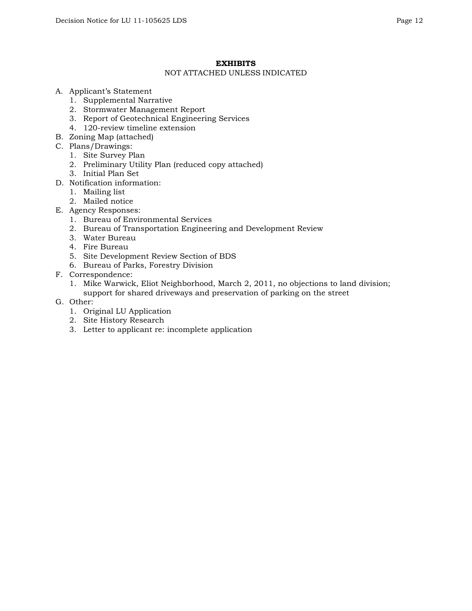## **EXHIBITS**

#### NOT ATTACHED UNLESS INDICATED

- A. Applicant's Statement
	- 1. Supplemental Narrative
	- 2. Stormwater Management Report
	- 3. Report of Geotechnical Engineering Services
	- 4. 120-review timeline extension
- B. Zoning Map (attached)
- C. Plans/Drawings:
	- 1. Site Survey Plan
	- 2. Preliminary Utility Plan (reduced copy attached)
	- 3. Initial Plan Set
- D. Notification information:
	- 1. Mailing list
	- 2. Mailed notice
- E. Agency Responses:
	- 1. Bureau of Environmental Services
	- 2. Bureau of Transportation Engineering and Development Review
	- 3. Water Bureau
	- 4. Fire Bureau
	- 5. Site Development Review Section of BDS
	- 6. Bureau of Parks, Forestry Division
- F. Correspondence:
	- 1. Mike Warwick, Eliot Neighborhood, March 2, 2011, no objections to land division; support for shared driveways and preservation of parking on the street
- G. Other:
	- 1. Original LU Application
	- 2. Site History Research
	- 3. Letter to applicant re: incomplete application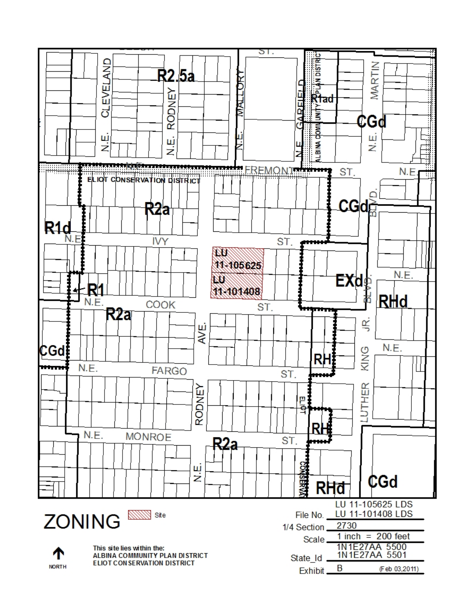